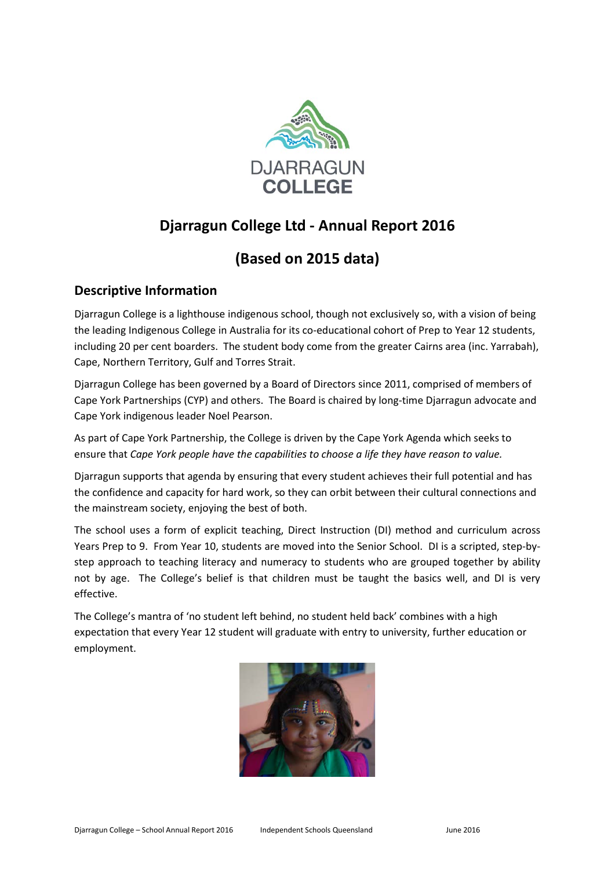

# **Djarragun College Ltd - Annual Report 2016**

# **(Based on 2015 data)**

## **Descriptive Information**

Djarragun College is a lighthouse indigenous school, though not exclusively so, with a vision of being the leading Indigenous College in Australia for its co-educational cohort of Prep to Year 12 students, including 20 per cent boarders. The student body come from the greater Cairns area (inc. Yarrabah), Cape, Northern Territory, Gulf and Torres Strait.

Djarragun College has been governed by a Board of Directors since 2011, comprised of members of Cape York Partnerships (CYP) and others. The Board is chaired by long-time Djarragun advocate and Cape York indigenous leader Noel Pearson.

As part of Cape York Partnership, the College is driven by the Cape York Agenda which seeks to ensure that *Cape York people have the capabilities to choose a life they have reason to value.*

Djarragun supports that agenda by ensuring that every student achieves their full potential and has the confidence and capacity for hard work, so they can orbit between their cultural connections and the mainstream society, enjoying the best of both.

The school uses a form of explicit teaching, Direct Instruction (DI) method and curriculum across Years Prep to 9. From Year 10, students are moved into the Senior School. DI is a scripted, step-bystep approach to teaching literacy and numeracy to students who are grouped together by ability not by age. The College's belief is that children must be taught the basics well, and DI is very effective.

The College's mantra of 'no student left behind, no student held back' combines with a high expectation that every Year 12 student will graduate with entry to university, further education or employment.

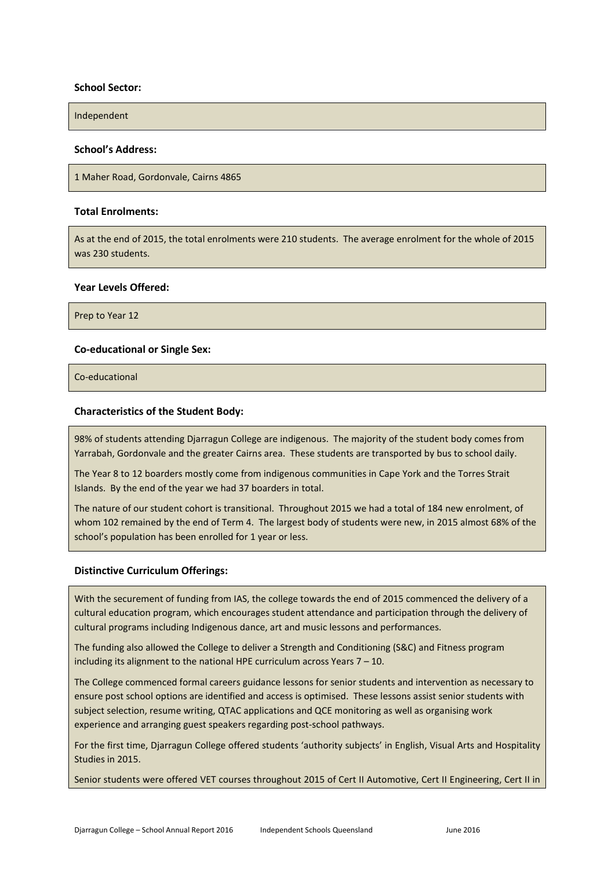#### **School Sector:**

Independent

#### **School's Address:**

1 Maher Road, Gordonvale, Cairns 4865

#### **Total Enrolments:**

As at the end of 2015, the total enrolments were 210 students. The average enrolment for the whole of 2015 was 230 students.

#### **Year Levels Offered:**

Prep to Year 12

#### **Co-educational or Single Sex:**

Co-educational

#### **Characteristics of the Student Body:**

98% of students attending Djarragun College are indigenous. The majority of the student body comes from Yarrabah, Gordonvale and the greater Cairns area. These students are transported by bus to school daily.

The Year 8 to 12 boarders mostly come from indigenous communities in Cape York and the Torres Strait Islands. By the end of the year we had 37 boarders in total.

The nature of our student cohort is transitional. Throughout 2015 we had a total of 184 new enrolment, of whom 102 remained by the end of Term 4. The largest body of students were new, in 2015 almost 68% of the school's population has been enrolled for 1 year or less.

#### **Distinctive Curriculum Offerings:**

With the securement of funding from IAS, the college towards the end of 2015 commenced the delivery of a cultural education program, which encourages student attendance and participation through the delivery of cultural programs including Indigenous dance, art and music lessons and performances.

The funding also allowed the College to deliver a Strength and Conditioning (S&C) and Fitness program including its alignment to the national HPE curriculum across Years 7 – 10.

The College commenced formal careers guidance lessons for senior students and intervention as necessary to ensure post school options are identified and access is optimised. These lessons assist senior students with subject selection, resume writing, QTAC applications and QCE monitoring as well as organising work experience and arranging guest speakers regarding post-school pathways.

For the first time, Djarragun College offered students 'authority subjects' in English, Visual Arts and Hospitality Studies in 2015.

Senior students were offered VET courses throughout 2015 of Cert II Automotive, Cert II Engineering, Cert II in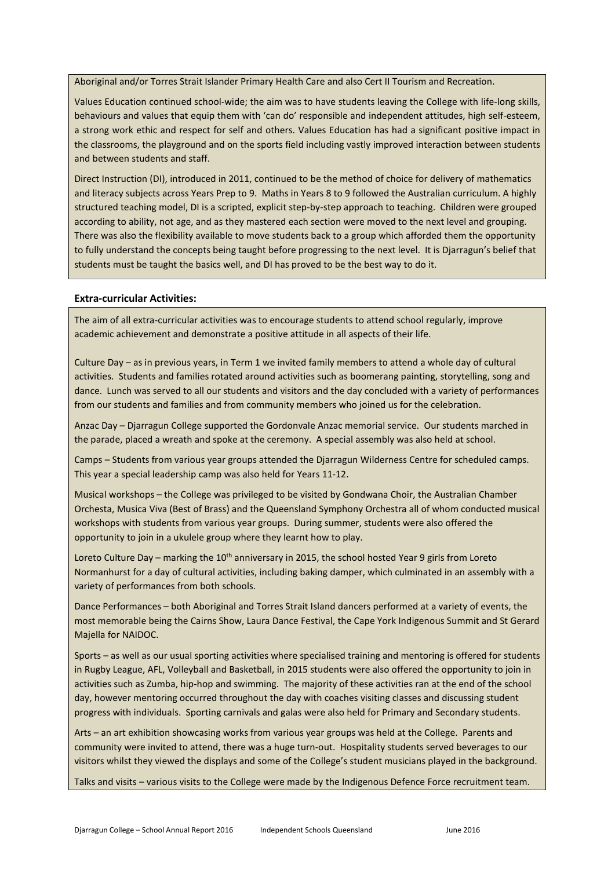Aboriginal and/or Torres Strait Islander Primary Health Care and also Cert II Tourism and Recreation.

Values Education continued school-wide; the aim was to have students leaving the College with life-long skills, behaviours and values that equip them with 'can do' responsible and independent attitudes, high self-esteem, a strong work ethic and respect for self and others. Values Education has had a significant positive impact in the classrooms, the playground and on the sports field including vastly improved interaction between students and between students and staff.

Direct Instruction (DI), introduced in 2011, continued to be the method of choice for delivery of mathematics and literacy subjects across Years Prep to 9. Maths in Years 8 to 9 followed the Australian curriculum. A highly structured teaching model, DI is a scripted, explicit step-by-step approach to teaching. Children were grouped according to ability, not age, and as they mastered each section were moved to the next level and grouping. There was also the flexibility available to move students back to a group which afforded them the opportunity to fully understand the concepts being taught before progressing to the next level. It is Djarragun's belief that students must be taught the basics well, and DI has proved to be the best way to do it.

#### **Extra-curricular Activities:**

The aim of all extra-curricular activities was to encourage students to attend school regularly, improve academic achievement and demonstrate a positive attitude in all aspects of their life.

Culture Day – as in previous years, in Term 1 we invited family members to attend a whole day of cultural activities. Students and families rotated around activities such as boomerang painting, storytelling, song and dance. Lunch was served to all our students and visitors and the day concluded with a variety of performances from our students and families and from community members who joined us for the celebration.

Anzac Day – Djarragun College supported the Gordonvale Anzac memorial service. Our students marched in the parade, placed a wreath and spoke at the ceremony. A special assembly was also held at school.

Camps – Students from various year groups attended the Djarragun Wilderness Centre for scheduled camps. This year a special leadership camp was also held for Years 11-12.

Musical workshops – the College was privileged to be visited by Gondwana Choir, the Australian Chamber Orchesta, Musica Viva (Best of Brass) and the Queensland Symphony Orchestra all of whom conducted musical workshops with students from various year groups. During summer, students were also offered the opportunity to join in a ukulele group where they learnt how to play.

Loreto Culture Day – marking the 10<sup>th</sup> anniversary in 2015, the school hosted Year 9 girls from Loreto Normanhurst for a day of cultural activities, including baking damper, which culminated in an assembly with a variety of performances from both schools.

Dance Performances – both Aboriginal and Torres Strait Island dancers performed at a variety of events, the most memorable being the Cairns Show, Laura Dance Festival, the Cape York Indigenous Summit and St Gerard Majella for NAIDOC.

Sports – as well as our usual sporting activities where specialised training and mentoring is offered for students in Rugby League, AFL, Volleyball and Basketball, in 2015 students were also offered the opportunity to join in activities such as Zumba, hip-hop and swimming. The majority of these activities ran at the end of the school day, however mentoring occurred throughout the day with coaches visiting classes and discussing student progress with individuals. Sporting carnivals and galas were also held for Primary and Secondary students.

Arts – an art exhibition showcasing works from various year groups was held at the College. Parents and community were invited to attend, there was a huge turn-out. Hospitality students served beverages to our visitors whilst they viewed the displays and some of the College's student musicians played in the background.

Talks and visits – various visits to the College were made by the Indigenous Defence Force recruitment team.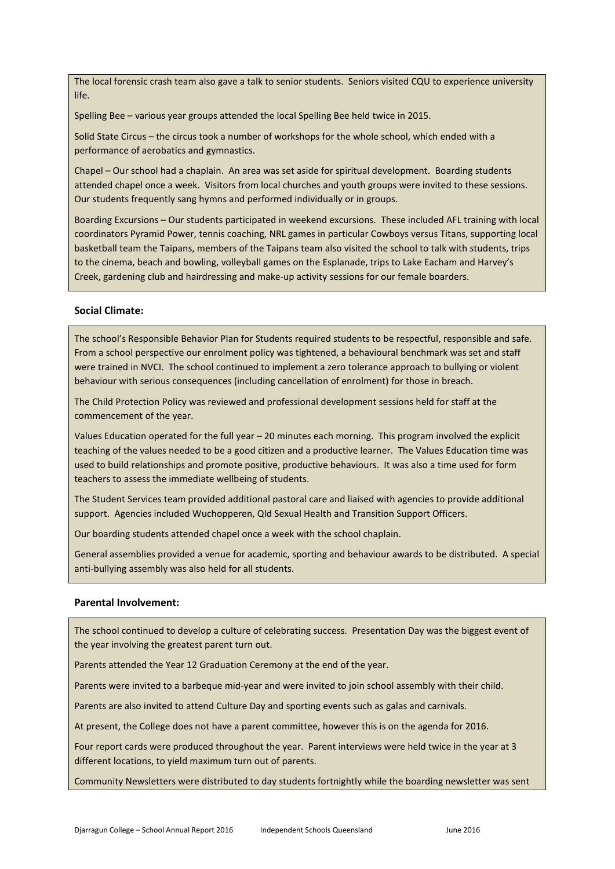The local forensic crash team also gave a talk to senior students. Seniors visited CQU to experience university life.

Spelling Bee – various year groups attended the local Spelling Bee held twice in 2015.

Solid State Circus – the circus took a number of workshops for the whole school, which ended with a performance of aerobatics and gymnastics.

Chapel – Our school had a chaplain. An area was set aside for spiritual development. Boarding students attended chapel once a week. Visitors from local churches and youth groups were invited to these sessions. Our students frequently sang hymns and performed individually or in groups.

Boarding Excursions – Our students participated in weekend excursions. These included AFL training with local coordinators Pyramid Power, tennis coaching, NRL games in particular Cowboys versus Titans, supporting local basketball team the Taipans, members of the Taipans team also visited the school to talk with students, trips to the cinema, beach and bowling, volleyball games on the Esplanade, trips to Lake Eacham and Harvey's Creek, gardening club and hairdressing and make-up activity sessions for our female boarders.

### **Social Climate:**

The school's Responsible Behavior Plan for Students required students to be respectful, responsible and safe. From a school perspective our enrolment policy was tightened, a behavioural benchmark was set and staff were trained in NVCI. The school continued to implement a zero tolerance approach to bullying or violent behaviour with serious consequences (including cancellation of enrolment) for those in breach.

The Child Protection Policy was reviewed and professional development sessions held for staff at the commencement of the year.

Values Education operated for the full year – 20 minutes each morning. This program involved the explicit teaching of the values needed to be a good citizen and a productive learner. The Values Education time was used to build relationships and promote positive, productive behaviours. It was also a time used for form teachers to assess the immediate wellbeing of students.

The Student Services team provided additional pastoral care and liaised with agencies to provide additional support. Agencies included Wuchopperen, Qld Sexual Health and Transition Support Officers.

Our boarding students attended chapel once a week with the school chaplain.

General assemblies provided a venue for academic, sporting and behaviour awards to be distributed. A special anti-bullying assembly was also held for all students.

### **Parental Involvement:**

The school continued to develop a culture of celebrating success. Presentation Day was the biggest event of the year involving the greatest parent turn out.

Parents attended the Year 12 Graduation Ceremony at the end of the year.

Parents were invited to a barbeque mid-year and were invited to join school assembly with their child.

Parents are also invited to attend Culture Day and sporting events such as galas and carnivals.

At present, the College does not have a parent committee, however this is on the agenda for 2016.

Four report cards were produced throughout the year. Parent interviews were held twice in the year at 3 different locations, to yield maximum turn out of parents.

Community Newsletters were distributed to day students fortnightly while the boarding newsletter was sent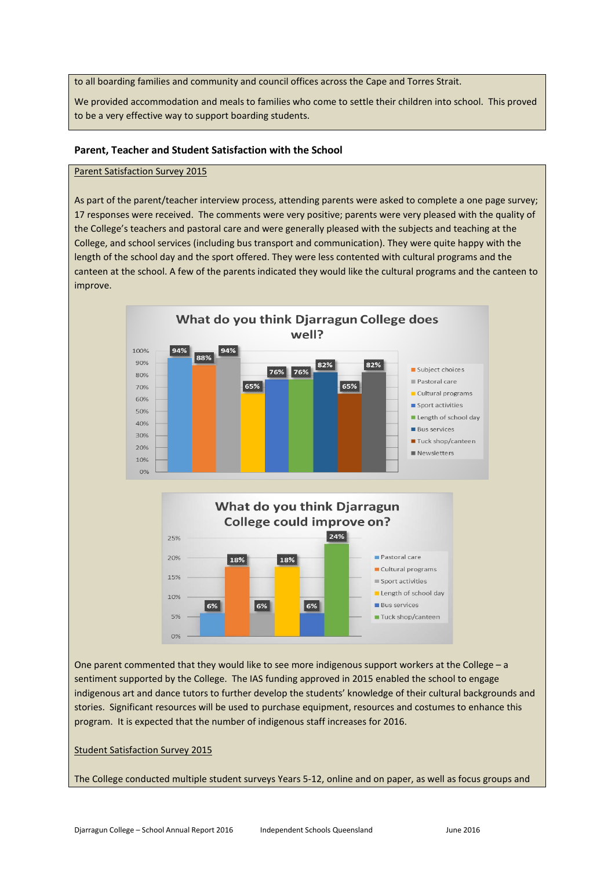to all boarding families and community and council offices across the Cape and Torres Strait.

We provided accommodation and meals to families who come to settle their children into school. This proved to be a very effective way to support boarding students.

#### **Parent, Teacher and Student Satisfaction with the School**

#### Parent Satisfaction Survey 2015

As part of the parent/teacher interview process, attending parents were asked to complete a one page survey; 17 responses were received. The comments were very positive; parents were very pleased with the quality of the College's teachers and pastoral care and were generally pleased with the subjects and teaching at the College, and school services (including bus transport and communication). They were quite happy with the length of the school day and the sport offered. They were less contented with cultural programs and the canteen at the school. A few of the parents indicated they would like the cultural programs and the canteen to improve.



One parent commented that they would like to see more indigenous support workers at the College – a sentiment supported by the College. The IAS funding approved in 2015 enabled the school to engage indigenous art and dance tutors to further develop the students' knowledge of their cultural backgrounds and stories. Significant resources will be used to purchase equipment, resources and costumes to enhance this program. It is expected that the number of indigenous staff increases for 2016.

Student Satisfaction Survey 2015

The College conducted multiple student surveys Years 5-12, online and on paper, as well as focus groups and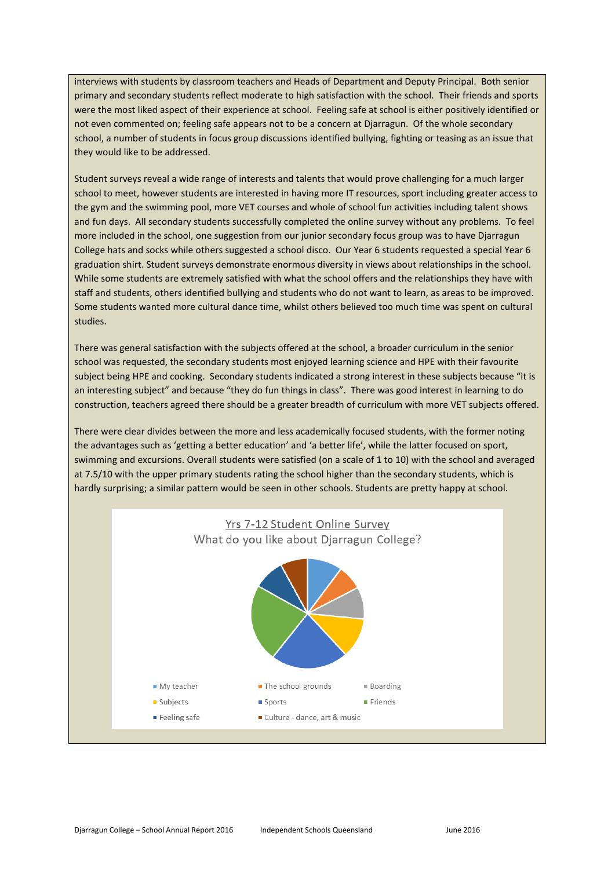interviews with students by classroom teachers and Heads of Department and Deputy Principal. Both senior primary and secondary students reflect moderate to high satisfaction with the school. Their friends and sports were the most liked aspect of their experience at school. Feeling safe at school is either positively identified or not even commented on; feeling safe appears not to be a concern at Djarragun. Of the whole secondary school, a number of students in focus group discussions identified bullying, fighting or teasing as an issue that they would like to be addressed.

Student surveys reveal a wide range of interests and talents that would prove challenging for a much larger school to meet, however students are interested in having more IT resources, sport including greater access to the gym and the swimming pool, more VET courses and whole of school fun activities including talent shows and fun days. All secondary students successfully completed the online survey without any problems. To feel more included in the school, one suggestion from our junior secondary focus group was to have Djarragun College hats and socks while others suggested a school disco. Our Year 6 students requested a special Year 6 graduation shirt. Student surveys demonstrate enormous diversity in views about relationships in the school. While some students are extremely satisfied with what the school offers and the relationships they have with staff and students, others identified bullying and students who do not want to learn, as areas to be improved. Some students wanted more cultural dance time, whilst others believed too much time was spent on cultural studies.

There was general satisfaction with the subjects offered at the school, a broader curriculum in the senior school was requested, the secondary students most enjoyed learning science and HPE with their favourite subject being HPE and cooking. Secondary students indicated a strong interest in these subjects because "it is an interesting subject" and because "they do fun things in class". There was good interest in learning to do construction, teachers agreed there should be a greater breadth of curriculum with more VET subjects offered.

There were clear divides between the more and less academically focused students, with the former noting the advantages such as 'getting a better education' and 'a better life', while the latter focused on sport, swimming and excursions. Overall students were satisfied (on a scale of 1 to 10) with the school and averaged at 7.5/10 with the upper primary students rating the school higher than the secondary students, which is hardly surprising; a similar pattern would be seen in other schools. Students are pretty happy at school.

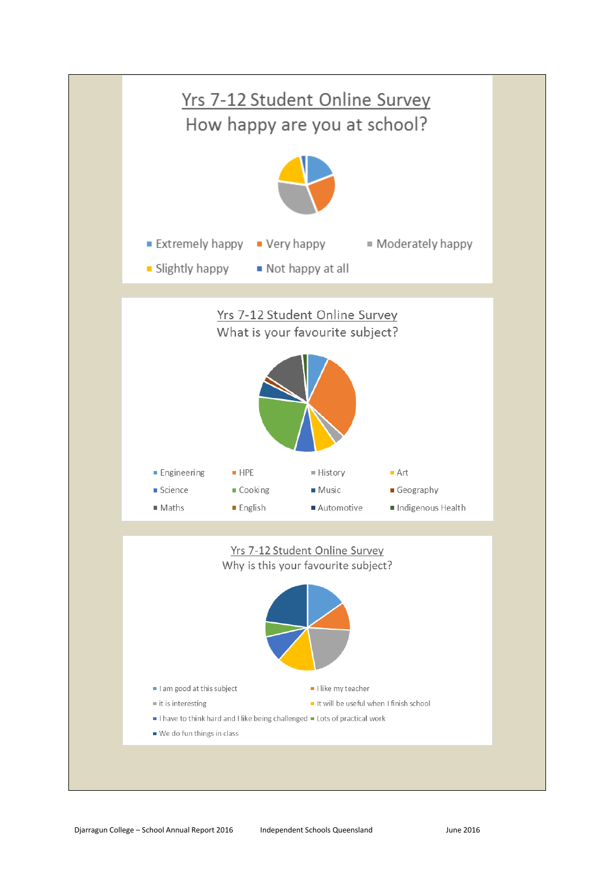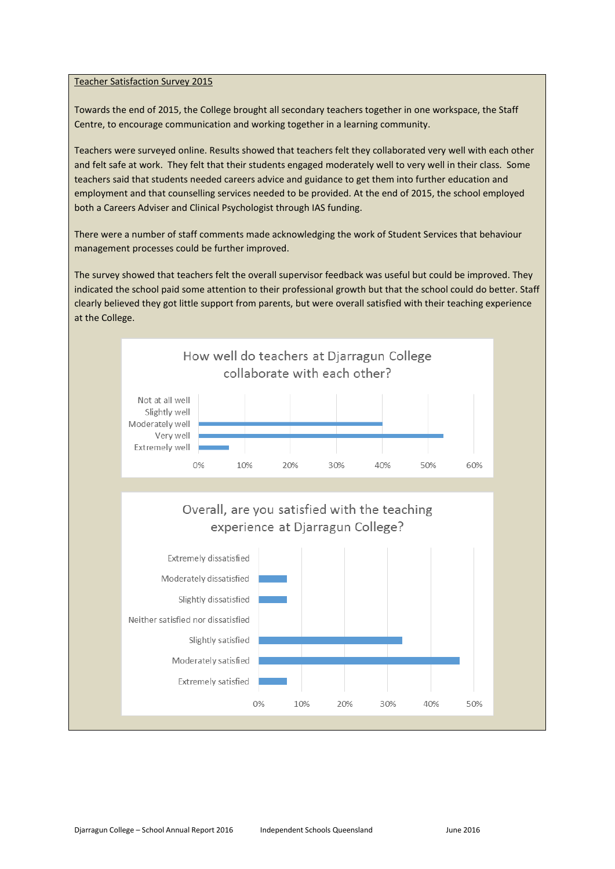#### Teacher Satisfaction Survey 2015

Towards the end of 2015, the College brought all secondary teachers together in one workspace, the Staff Centre, to encourage communication and working together in a learning community.

Teachers were surveyed online. Results showed that teachers felt they collaborated very well with each other and felt safe at work. They felt that their students engaged moderately well to very well in their class. Some teachers said that students needed careers advice and guidance to get them into further education and employment and that counselling services needed to be provided. At the end of 2015, the school employed both a Careers Adviser and Clinical Psychologist through IAS funding.

There were a number of staff comments made acknowledging the work of Student Services that behaviour management processes could be further improved.

The survey showed that teachers felt the overall supervisor feedback was useful but could be improved. They indicated the school paid some attention to their professional growth but that the school could do better. Staff clearly believed they got little support from parents, but were overall satisfied with their teaching experience at the College.

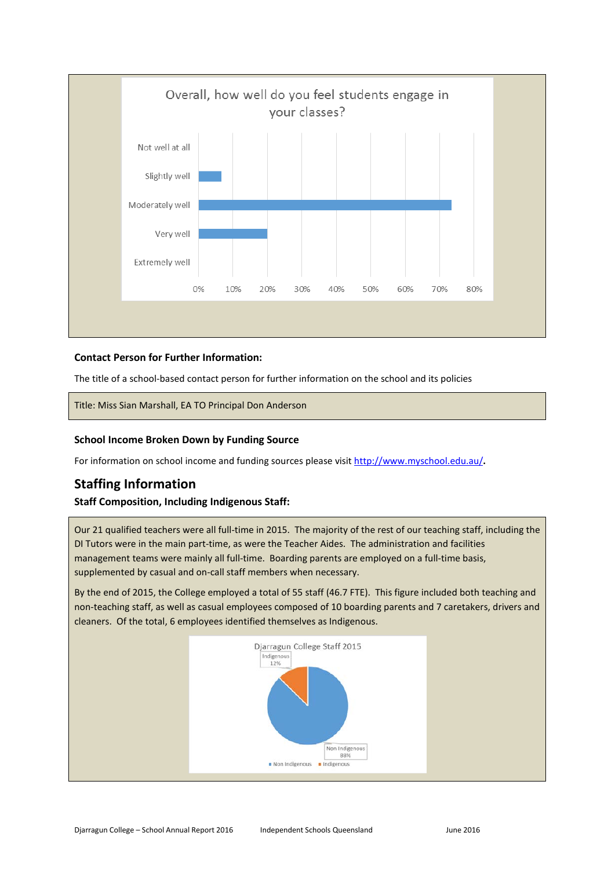

### **Contact Person for Further Information:**

The title of a school-based contact person for further information on the school and its policies

Title: Miss Sian Marshall, EA TO Principal Don Anderson

### **School Income Broken Down by Funding Source**

For information on school income and funding sources please visit<http://www.myschool.edu.au/>**.**

## **Staffing Information**

### **Staff Composition, Including Indigenous Staff:**

Our 21 qualified teachers were all full-time in 2015. The majority of the rest of our teaching staff, including the DI Tutors were in the main part-time, as were the Teacher Aides. The administration and facilities management teams were mainly all full-time. Boarding parents are employed on a full-time basis, supplemented by casual and on-call staff members when necessary.

By the end of 2015, the College employed a total of 55 staff (46.7 FTE). This figure included both teaching and non-teaching staff, as well as casual employees composed of 10 boarding parents and 7 caretakers, drivers and cleaners. Of the total, 6 employees identified themselves as Indigenous.

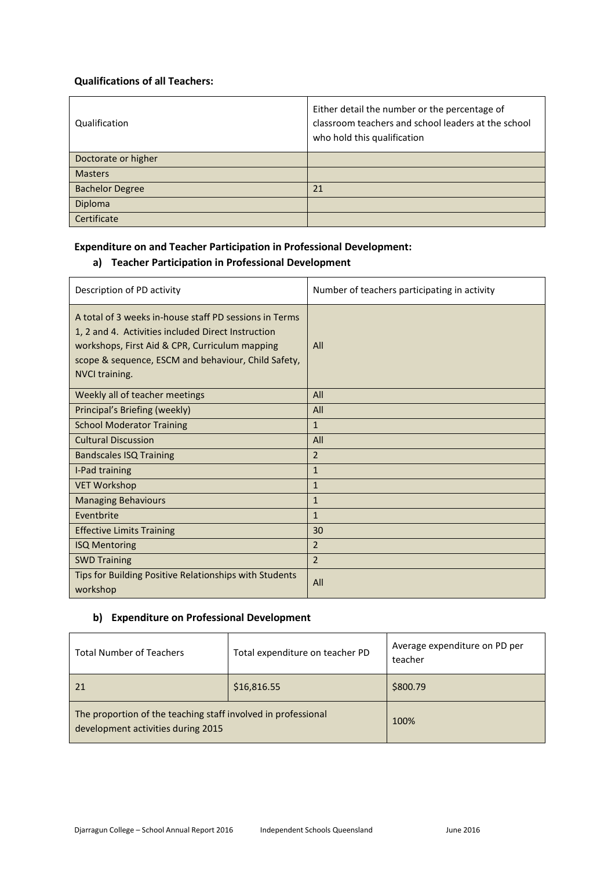### **Qualifications of all Teachers:**

| Qualification          | Either detail the number or the percentage of<br>classroom teachers and school leaders at the school<br>who hold this qualification |
|------------------------|-------------------------------------------------------------------------------------------------------------------------------------|
| Doctorate or higher    |                                                                                                                                     |
| <b>Masters</b>         |                                                                                                                                     |
| <b>Bachelor Degree</b> | 21                                                                                                                                  |
| Diploma                |                                                                                                                                     |
| Certificate            |                                                                                                                                     |

### **Expenditure on and Teacher Participation in Professional Development:**

## **a) Teacher Participation in Professional Development**

| Description of PD activity                                                                                                                                                                                                              | Number of teachers participating in activity |
|-----------------------------------------------------------------------------------------------------------------------------------------------------------------------------------------------------------------------------------------|----------------------------------------------|
| A total of 3 weeks in-house staff PD sessions in Terms<br>1, 2 and 4. Activities included Direct Instruction<br>workshops, First Aid & CPR, Curriculum mapping<br>scope & sequence, ESCM and behaviour, Child Safety,<br>NVCI training. | All                                          |
| Weekly all of teacher meetings                                                                                                                                                                                                          | All                                          |
| Principal's Briefing (weekly)                                                                                                                                                                                                           | All                                          |
| <b>School Moderator Training</b>                                                                                                                                                                                                        | $\mathbf{1}$                                 |
| <b>Cultural Discussion</b>                                                                                                                                                                                                              | All                                          |
| <b>Bandscales ISQ Training</b>                                                                                                                                                                                                          | $\overline{2}$                               |
| I-Pad training                                                                                                                                                                                                                          | $\mathbf{1}$                                 |
| <b>VET Workshop</b>                                                                                                                                                                                                                     | $\mathbf{1}$                                 |
| <b>Managing Behaviours</b>                                                                                                                                                                                                              | $\mathbf{1}$                                 |
| Eventbrite                                                                                                                                                                                                                              | $\mathbf{1}$                                 |
| <b>Effective Limits Training</b>                                                                                                                                                                                                        | 30                                           |
| <b>ISQ Mentoring</b>                                                                                                                                                                                                                    | $\overline{2}$                               |
| <b>SWD Training</b>                                                                                                                                                                                                                     | $\overline{2}$                               |
| Tips for Building Positive Relationships with Students<br>workshop                                                                                                                                                                      | All                                          |

### **b) Expenditure on Professional Development**

| <b>Total Number of Teachers</b>                                                                     | Total expenditure on teacher PD | Average expenditure on PD per<br>teacher |
|-----------------------------------------------------------------------------------------------------|---------------------------------|------------------------------------------|
| 21                                                                                                  | \$16,816.55                     | \$800.79                                 |
| The proportion of the teaching staff involved in professional<br>development activities during 2015 |                                 | 100%                                     |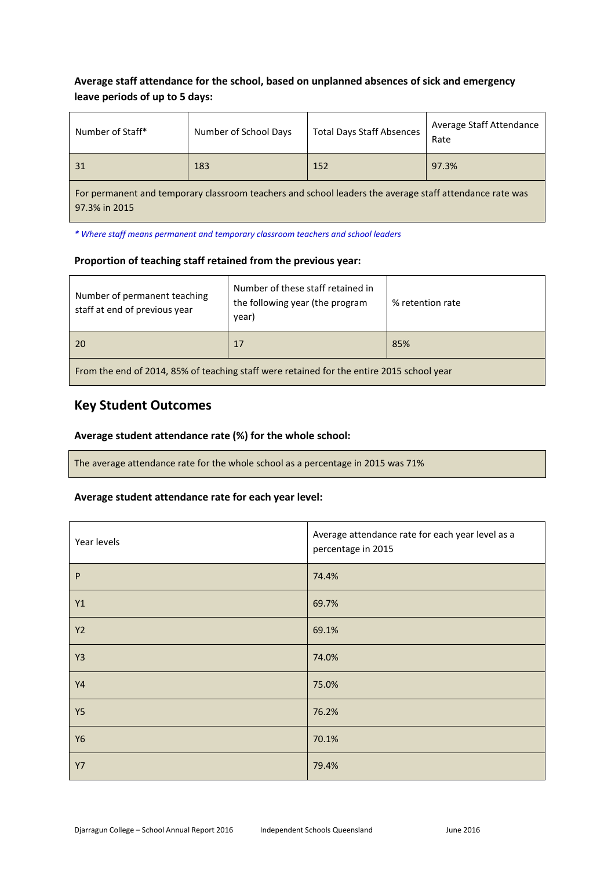## **Average staff attendance for the school, based on unplanned absences of sick and emergency leave periods of up to 5 days:**

| Number of Staff*                                                                                                         | Number of School Days | <b>Total Days Staff Absences</b> | Average Staff Attendance<br>Rate |
|--------------------------------------------------------------------------------------------------------------------------|-----------------------|----------------------------------|----------------------------------|
| 31                                                                                                                       | 183                   | 152                              | 97.3%                            |
| For permanent and temporary classroom teachers and school leaders the average staff attendance rate was<br>97.3% in 2015 |                       |                                  |                                  |

*\* Where staff means permanent and temporary classroom teachers and school leaders*

### **Proportion of teaching staff retained from the previous year:**

| Number of permanent teaching<br>staff at end of previous year                             | Number of these staff retained in<br>the following year (the program<br>year) | % retention rate |
|-------------------------------------------------------------------------------------------|-------------------------------------------------------------------------------|------------------|
| 20                                                                                        | 17                                                                            | 85%              |
| From the end of 2014, 85% of teaching staff were retained for the entire 2015 school year |                                                                               |                  |

## **Key Student Outcomes**

### **Average student attendance rate (%) for the whole school:**

The average attendance rate for the whole school as a percentage in 2015 was 71%

### **Average student attendance rate for each year level:**

| Year levels    | Average attendance rate for each year level as a<br>percentage in 2015 |
|----------------|------------------------------------------------------------------------|
| P              | 74.4%                                                                  |
| Y1             | 69.7%                                                                  |
| <b>Y2</b>      | 69.1%                                                                  |
| Y <sub>3</sub> | 74.0%                                                                  |
| <b>Y4</b>      | 75.0%                                                                  |
| Y5             | 76.2%                                                                  |
| <b>Y6</b>      | 70.1%                                                                  |
| <b>Y7</b>      | 79.4%                                                                  |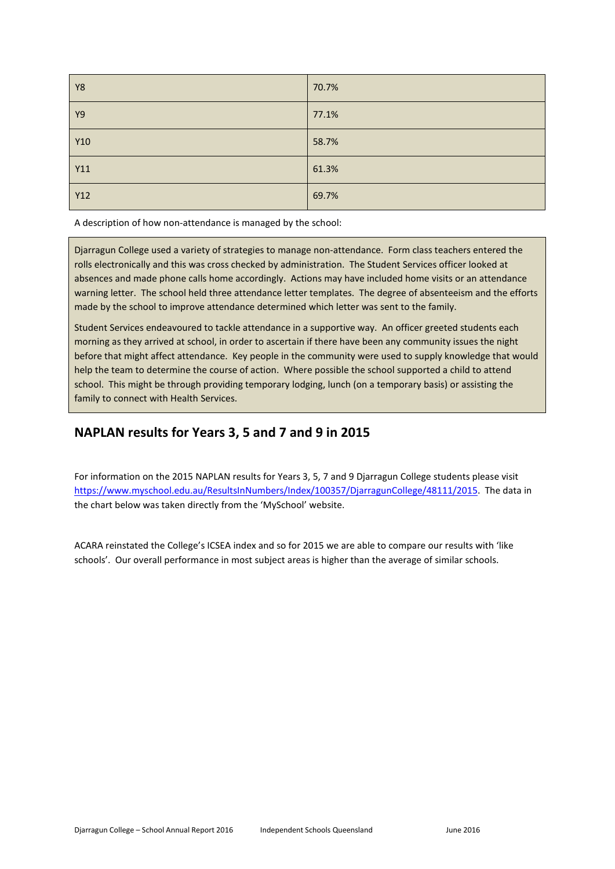| Y8         | 70.7% |
|------------|-------|
| <b>Y9</b>  | 77.1% |
| Y10        | 58.7% |
| Y11        | 61.3% |
| <b>Y12</b> | 69.7% |

A description of how non-attendance is managed by the school:

Djarragun College used a variety of strategies to manage non-attendance. Form class teachers entered the rolls electronically and this was cross checked by administration. The Student Services officer looked at absences and made phone calls home accordingly. Actions may have included home visits or an attendance warning letter. The school held three attendance letter templates. The degree of absenteeism and the efforts made by the school to improve attendance determined which letter was sent to the family.

Student Services endeavoured to tackle attendance in a supportive way. An officer greeted students each morning as they arrived at school, in order to ascertain if there have been any community issues the night before that might affect attendance. Key people in the community were used to supply knowledge that would help the team to determine the course of action. Where possible the school supported a child to attend school. This might be through providing temporary lodging, lunch (on a temporary basis) or assisting the family to connect with Health Services.

## **NAPLAN results for Years 3, 5 and 7 and 9 in 2015**

For information on the 2015 NAPLAN results for Years 3, 5, 7 and 9 Djarragun College students please visit [https://www.myschool.edu.au/ResultsInNumbers/Index/100357/DjarragunCollege/48111/2015.](https://www.myschool.edu.au/ResultsInNumbers/Index/100357/DjarragunCollege/48111/2015)The data in the chart below was taken directly from the 'MySchool' website.

ACARA reinstated the College's ICSEA index and so for 2015 we are able to compare our results with 'like schools'. Our overall performance in most subject areas is higher than the average of similar schools.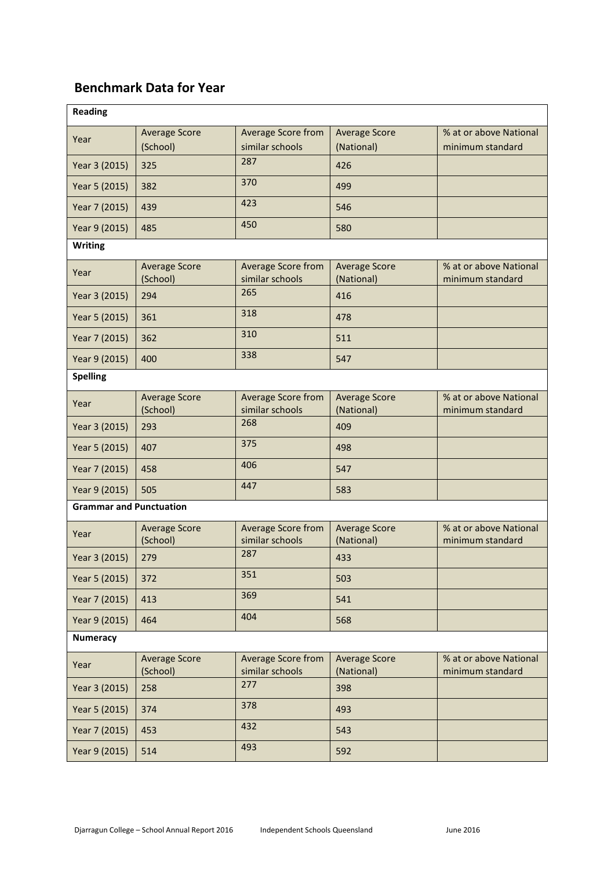## **Benchmark Data for Year**

| <b>Reading</b>                 |                                  |                                       |                                    |                                            |
|--------------------------------|----------------------------------|---------------------------------------|------------------------------------|--------------------------------------------|
| Year                           | <b>Average Score</b><br>(School) | Average Score from<br>similar schools | <b>Average Score</b><br>(National) | % at or above National<br>minimum standard |
| Year 3 (2015)                  | 325                              | 287                                   | 426                                |                                            |
| Year 5 (2015)                  | 382                              | 370                                   | 499                                |                                            |
| Year 7 (2015)                  | 439                              | 423                                   | 546                                |                                            |
| Year 9 (2015)                  | 485                              | 450                                   | 580                                |                                            |
| <b>Writing</b>                 |                                  |                                       |                                    |                                            |
| Year                           | <b>Average Score</b><br>(School) | Average Score from<br>similar schools | <b>Average Score</b><br>(National) | % at or above National<br>minimum standard |
| Year 3 (2015)                  | 294                              | 265                                   | 416                                |                                            |
| Year 5 (2015)                  | 361                              | 318                                   | 478                                |                                            |
| Year 7 (2015)                  | 362                              | 310                                   | 511                                |                                            |
| Year 9 (2015)                  | 400                              | 338                                   | 547                                |                                            |
| <b>Spelling</b>                |                                  |                                       |                                    |                                            |
| Year                           | <b>Average Score</b><br>(School) | Average Score from<br>similar schools | <b>Average Score</b><br>(National) | % at or above National<br>minimum standard |
| Year 3 (2015)                  | 293                              | 268                                   | 409                                |                                            |
| Year 5 (2015)                  | 407                              | 375                                   | 498                                |                                            |
| Year 7 (2015)                  | 458                              | 406                                   | 547                                |                                            |
| Year 9 (2015)                  | 505                              | 447                                   | 583                                |                                            |
| <b>Grammar and Punctuation</b> |                                  |                                       |                                    |                                            |
| Year                           | <b>Average Score</b><br>(School) | Average Score from<br>similar schools | <b>Average Score</b><br>(National) | % at or above National<br>minimum standard |
| Year 3 (2015)                  | 279                              | 287                                   | 433                                |                                            |
| Year 5 (2015)                  | 372                              | 351                                   | 503                                |                                            |
| Year 7 (2015)                  | 413                              | 369                                   | 541                                |                                            |
| Year 9 (2015)                  | 464                              | 404                                   | 568                                |                                            |
| <b>Numeracy</b>                |                                  |                                       |                                    |                                            |
| Year                           | <b>Average Score</b><br>(School) | Average Score from<br>similar schools | <b>Average Score</b><br>(National) | % at or above National<br>minimum standard |
| Year 3 (2015)                  | 258                              | 277                                   | 398                                |                                            |
| Year 5 (2015)                  | 374                              | 378                                   | 493                                |                                            |
| Year 7 (2015)                  | 453                              | 432                                   | 543                                |                                            |
| Year 9 (2015)                  | 514                              | 493                                   | 592                                |                                            |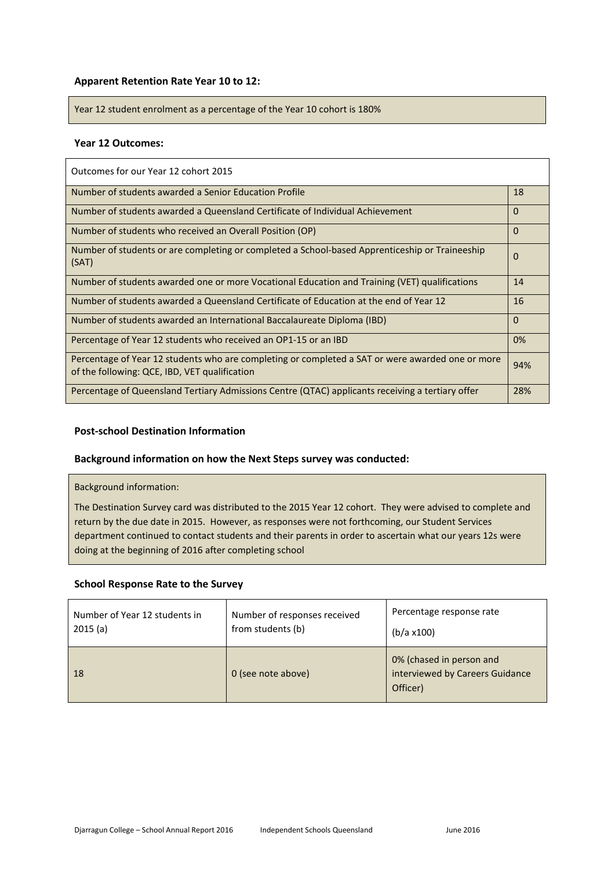### **Apparent Retention Rate Year 10 to 12:**

Year 12 student enrolment as a percentage of the Year 10 cohort is 180%

### **Year 12 Outcomes:**

| Outcomes for our Year 12 cohort 2015                                                                                                              |          |
|---------------------------------------------------------------------------------------------------------------------------------------------------|----------|
| Number of students awarded a Senior Education Profile                                                                                             | 18       |
| Number of students awarded a Queensland Certificate of Individual Achievement                                                                     | $\Omega$ |
| Number of students who received an Overall Position (OP)                                                                                          | $\Omega$ |
| Number of students or are completing or completed a School-based Apprenticeship or Traineeship<br>(SAT)                                           | 0        |
| Number of students awarded one or more Vocational Education and Training (VET) qualifications                                                     | 14       |
| Number of students awarded a Queensland Certificate of Education at the end of Year 12                                                            | 16       |
| Number of students awarded an International Baccalaureate Diploma (IBD)                                                                           | $\Omega$ |
| Percentage of Year 12 students who received an OP1-15 or an IBD                                                                                   | 0%       |
| Percentage of Year 12 students who are completing or completed a SAT or were awarded one or more<br>of the following: QCE, IBD, VET qualification | 94%      |
| Percentage of Queensland Tertiary Admissions Centre (QTAC) applicants receiving a tertiary offer                                                  | 28%      |

### **Post-school Destination Information**

### **Background information on how the Next Steps survey was conducted:**

Background information:

The Destination Survey card was distributed to the 2015 Year 12 cohort. They were advised to complete and return by the due date in 2015. However, as responses were not forthcoming, our Student Services department continued to contact students and their parents in order to ascertain what our years 12s were doing at the beginning of 2016 after completing school

#### **School Response Rate to the Survey**

| Number of Year 12 students in | Number of responses received | Percentage response rate                                                |
|-------------------------------|------------------------------|-------------------------------------------------------------------------|
| 2015(a)                       | from students (b)            | (b/a x100)                                                              |
| <sup>18</sup>                 | 0 (see note above)           | 0% (chased in person and<br>interviewed by Careers Guidance<br>Officer) |